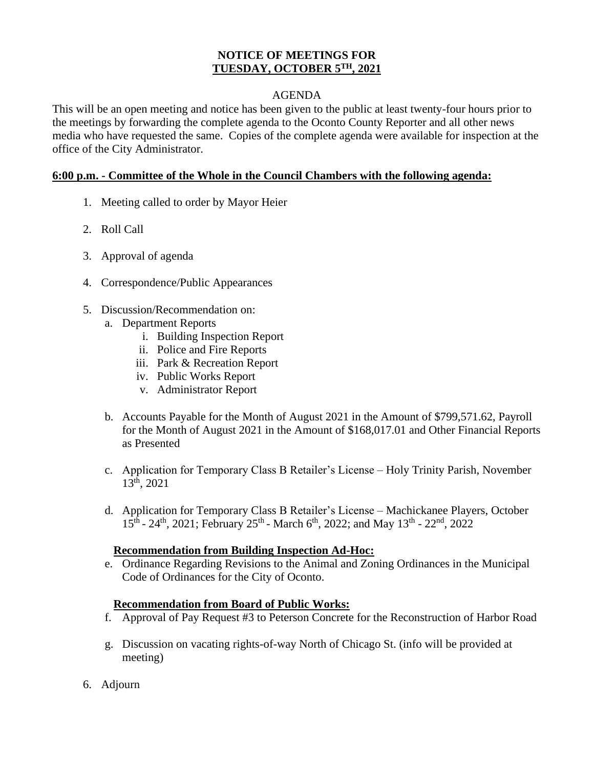## **NOTICE OF MEETINGS FOR TUESDAY, OCTOBER 5 TH, 2021**

## AGENDA

This will be an open meeting and notice has been given to the public at least twenty-four hours prior to the meetings by forwarding the complete agenda to the Oconto County Reporter and all other news media who have requested the same. Copies of the complete agenda were available for inspection at the office of the City Administrator.

### **6:00 p.m. - Committee of the Whole in the Council Chambers with the following agenda:**

- 1. Meeting called to order by Mayor Heier
- 2. Roll Call
- 3. Approval of agenda
- 4. Correspondence/Public Appearances
- 5. Discussion/Recommendation on:
	- a. Department Reports
		- i. Building Inspection Report
		- ii. Police and Fire Reports
		- iii. Park & Recreation Report
		- iv. Public Works Report
		- v. Administrator Report
	- b. Accounts Payable for the Month of August 2021 in the Amount of \$799,571.62, Payroll for the Month of August 2021 in the Amount of \$168,017.01 and Other Financial Reports as Presented
	- c. Application for Temporary Class B Retailer's License Holy Trinity Parish, November 13th, 2021
	- d. Application for Temporary Class B Retailer's License Machickanee Players, October  $15^{\text{th}}$  -  $24^{\text{th}}$ ,  $2021$ ; February  $25^{\text{th}}$  - March  $6^{\text{th}}$ ,  $2022$ ; and May  $13^{\text{th}}$  -  $22^{\text{nd}}$ ,  $2022$

#### **Recommendation from Building Inspection Ad-Hoc:**

e. Ordinance Regarding Revisions to the Animal and Zoning Ordinances in the Municipal Code of Ordinances for the City of Oconto.

#### **Recommendation from Board of Public Works:**

- f. Approval of Pay Request #3 to Peterson Concrete for the Reconstruction of Harbor Road
- g. Discussion on vacating rights-of-way North of Chicago St. (info will be provided at meeting)
- 6. Adjourn